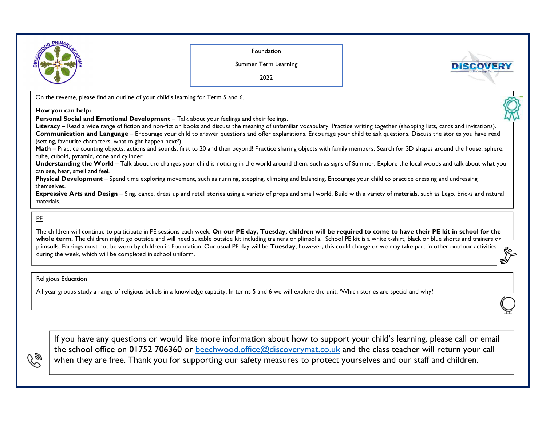

## PE

رحي

The children will continue to participate in PE sessions each week. **On our PE day, Tuesday, children will be required to come to have their PE kit in school for the** whole term. The children might go outside and will need suitable outside kit including trainers or plimsolls. School PE kit is a white t-shirt, black or blue shorts and trainers or plimsolls. Earrings must not be worn by children in Foundation. Our usual PE day will be **Tuesday**; however, this could change or we may take part in other outdoor activities during the week, which will be completed in school uniform.

## Religious Education

All year groups study a range of religious beliefs in a knowledge capacity. In terms 5 and 6 we will explore the unit; 'Which stories are special and why?

If you have any questions or would like more information about how to support your child's learning, please call or email the school office on 01752 706360 or <u>beechwood.office@discoverymat.co.uk</u> and the class teacher will return your call when they are free. Thank you for supporting our safety measures to protect yourselves and our staff and children.